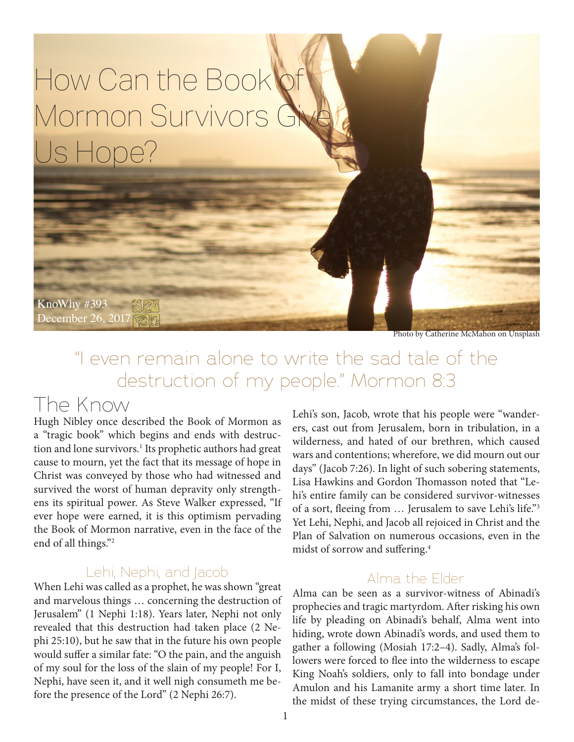# How Can the Book Mormon Survivors G Us Hope?

KnoWhy #393 December 26, 2017 <br>

Photo by Catherine McMahon on Unsplash

### "I even remain alone to write the sad tale of the destruction of my people." Mormon 8:3

### The Know

Hugh Nibley once described the Book of Mormon as a "tragic book" which begins and ends with destruction and lone survivors.<sup>1</sup> Its prophetic authors had great cause to mourn, yet the fact that its message of hope in Christ was conveyed by those who had witnessed and survived the worst of human depravity only strengthens its spiritual power. As Steve Walker expressed, "If ever hope were earned, it is this optimism pervading the Book of Mormon narrative, even in the face of the end of all things."2

#### Lehi, Nephi, and Jacob

When Lehi was called as a prophet, he was shown "great and marvelous things … concerning the destruction of Jerusalem" (1 Nephi 1:18). Years later, Nephi not only revealed that this destruction had taken place (2 Nephi 25:10), but he saw that in the future his own people would suffer a similar fate: "O the pain, and the anguish of my soul for the loss of the slain of my people! For I, Nephi, have seen it, and it well nigh consumeth me before the presence of the Lord" (2 Nephi 26:7).

Lehi's son, Jacob, wrote that his people were "wanderers, cast out from Jerusalem, born in tribulation, in a wilderness, and hated of our brethren, which caused wars and contentions; wherefore, we did mourn out our days" (Jacob 7:26). In light of such sobering statements, Lisa Hawkins and Gordon Thomasson noted that "Lehi's entire family can be considered survivor-witnesses of a sort, fleeing from … Jerusalem to save Lehi's life."3 Yet Lehi, Nephi, and Jacob all rejoiced in Christ and the Plan of Salvation on numerous occasions, even in the midst of sorrow and suffering.4

#### Alma the Elder

Alma can be seen as a survivor-witness of Abinadi's prophecies and tragic martyrdom. After risking his own life by pleading on Abinadi's behalf, Alma went into hiding, wrote down Abinadi's words, and used them to gather a following (Mosiah 17:2–4). Sadly, Alma's followers were forced to flee into the wilderness to escape King Noah's soldiers, only to fall into bondage under Amulon and his Lamanite army a short time later. In the midst of these trying circumstances, the Lord de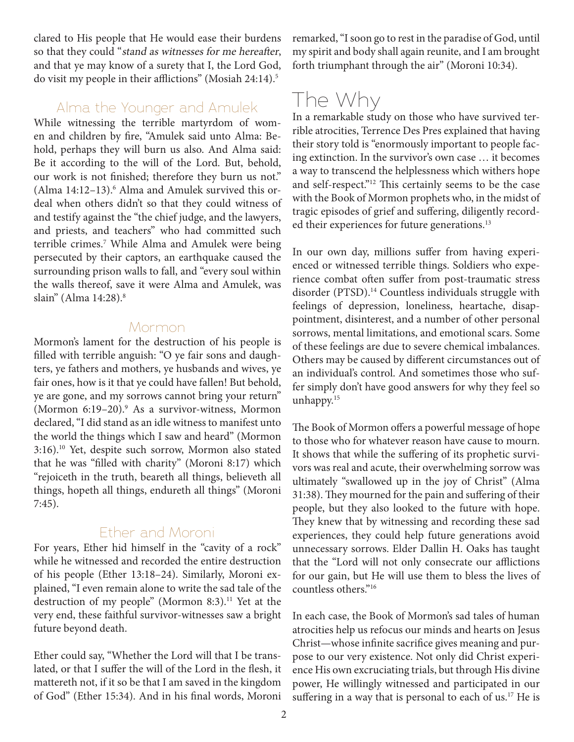clared to His people that He would ease their burdens so that they could "stand as witnesses for me hereafter, and that ye may know of a surety that I, the Lord God, do visit my people in their afflictions" (Mosiah 24:14).<sup>5</sup>

#### Alma the Younger and Amulek

While witnessing the terrible martyrdom of women and children by fire, "Amulek said unto Alma: Behold, perhaps they will burn us also. And Alma said: Be it according to the will of the Lord. But, behold, our work is not finished; therefore they burn us not." (Alma 14:12-13).<sup>6</sup> Alma and Amulek survived this ordeal when others didn't so that they could witness of and testify against the "the chief judge, and the lawyers, and priests, and teachers" who had committed such terrible crimes.7 While Alma and Amulek were being persecuted by their captors, an earthquake caused the surrounding prison walls to fall, and "every soul within the walls thereof, save it were Alma and Amulek, was slain" (Alma 14:28).8

#### Mormon

Mormon's lament for the destruction of his people is filled with terrible anguish: "O ye fair sons and daughters, ye fathers and mothers, ye husbands and wives, ye fair ones, how is it that ye could have fallen! But behold, ye are gone, and my sorrows cannot bring your return" (Mormon 6:19-20).<sup>9</sup> As a survivor-witness, Mormon declared, "I did stand as an idle witness to manifest unto the world the things which I saw and heard" (Mormon 3:16).10 Yet, despite such sorrow, Mormon also stated that he was "filled with charity" (Moroni 8:17) which "rejoiceth in the truth, beareth all things, believeth all things, hopeth all things, endureth all things" (Moroni 7:45).

#### Ether and Moroni

For years, Ether hid himself in the "cavity of a rock" while he witnessed and recorded the entire destruction of his people (Ether 13:18–24). Similarly, Moroni explained, "I even remain alone to write the sad tale of the destruction of my people" (Mormon 8:3).<sup>11</sup> Yet at the very end, these faithful survivor-witnesses saw a bright future beyond death.

Ether could say, "Whether the Lord will that I be translated, or that I suffer the will of the Lord in the flesh, it mattereth not, if it so be that I am saved in the kingdom of God" (Ether 15:34). And in his final words, Moroni remarked, "I soon go to rest in the paradise of God, until my spirit and body shall again reunite, and I am brought forth triumphant through the air" (Moroni 10:34).

# The Why

In a remarkable study on those who have survived terrible atrocities, Terrence Des Pres explained that having their story told is "enormously important to people facing extinction. In the survivor's own case … it becomes a way to transcend the helplessness which withers hope and self-respect."12 This certainly seems to be the case with the Book of Mormon prophets who, in the midst of tragic episodes of grief and suffering, diligently recorded their experiences for future generations.<sup>13</sup>

In our own day, millions suffer from having experienced or witnessed terrible things. Soldiers who experience combat often suffer from post-traumatic stress disorder (PTSD).<sup>14</sup> Countless individuals struggle with feelings of depression, loneliness, heartache, disappointment, disinterest, and a number of other personal sorrows, mental limitations, and emotional scars. Some of these feelings are due to severe chemical imbalances. Others may be caused by different circumstances out of an individual's control. And sometimes those who suffer simply don't have good answers for why they feel so unhappy.<sup>15</sup>

The Book of Mormon offers a powerful message of hope to those who for whatever reason have cause to mourn. It shows that while the suffering of its prophetic survivors was real and acute, their overwhelming sorrow was ultimately "swallowed up in the joy of Christ" (Alma 31:38). They mourned for the pain and suffering of their people, but they also looked to the future with hope. They knew that by witnessing and recording these sad experiences, they could help future generations avoid unnecessary sorrows. Elder Dallin H. Oaks has taught that the "Lord will not only consecrate our afflictions for our gain, but He will use them to bless the lives of countless others."16

In each case, the Book of Mormon's sad tales of human atrocities help us refocus our minds and hearts on Jesus Christ—whose infinite sacrifice gives meaning and purpose to our very existence. Not only did Christ experience His own excruciating trials, but through His divine power, He willingly witnessed and participated in our suffering in a way that is personal to each of us.<sup>17</sup> He is